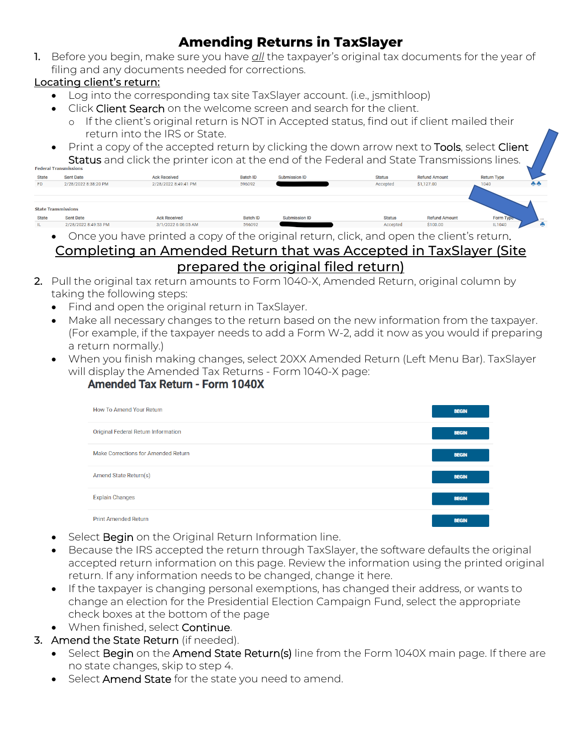1. Before you begin, make sure you have *all* the taxpayer's original tax documents for the year of filing and any documents needed for corrections.

### Locating client's return:

- Log into the corresponding tax site TaxSlayer account. (i.e., jsmithloop)
- Click Client Search on the welcome screen and search for the client.
	- o If the client's original return is NOT in Accepted status, find out if client mailed their return into the IRS or State.
- Print a copy of the accepted return by clicking the down arrow next to Tools, select Client Status and click the printer icon at the end of the Federal and State Transmissions lines.

| <b>State</b>               | <b>Sent Date</b>     | <b>Ack Received</b>             | <b>Batch ID</b>      | <b>Submission ID</b> | <b>Status</b> | <b>Refund Amount</b>               | <b>Return Type</b> |    |
|----------------------------|----------------------|---------------------------------|----------------------|----------------------|---------------|------------------------------------|--------------------|----|
| <b>FD</b>                  | 2/28/2022 8:38:20 PM | 2/28/2022 8:49:41 PM            | 596092               |                      | Accepted      | \$1,127.00                         | 1040               | 44 |
|                            |                      |                                 |                      |                      |               |                                    |                    |    |
|                            |                      |                                 |                      |                      |               |                                    |                    |    |
| <b>State Transmissions</b> |                      |                                 |                      |                      |               |                                    |                    |    |
| <b>State</b>               | <b>Sent Date</b>     | <b>Ack Received</b>             | <b>Batch ID</b>      | <b>Submission ID</b> | <b>Status</b> | <b>Refund Amount</b>               | Form Type-         |    |
|                            | 2/28/2022 8:49:53 PM | 3/1/2022 6:06:05 AM             | 596092               |                      | Accepted      | \$100.00                           | IL1040             | ٠  |
|                            | $\sim$               | the contract of the contract of | $\sim$ $\sim$ $\sim$ | $\cdot$              | $\cdots$      | $\cdots$<br>$\cdot$ $\cdot$<br>. . | $\sim$ $\sim$      |    |

- Once you have printed a copy of the original return, click, and open the client's return. Completing an Amended Return that was Accepted in TaxSlayer (Site prepared the original filed return)
- 2. Pull the original tax return amounts to Form 1040-X, Amended Return, original column by taking the following steps:
	- Find and open the original return in TaxSlayer.
	- Make all necessary changes to the return based on the new information from the taxpayer. (For example, if the taxpayer needs to add a Form W-2, add it now as you would if preparing a return normally.)
	- When you finish making changes, select 20XX Amended Return (Left Menu Bar). TaxSlayer will display the Amended Tax Returns - Form 1040-X page:

### **Amended Tax Return - Form 1040X**

| <b>How To Amend Your Return</b>     | <b>BEGIN</b> |
|-------------------------------------|--------------|
| Original Federal Return Information | <b>BEGIN</b> |
| Make Corrections for Amended Return | <b>BEGIN</b> |
| Amend State Return(s)               | <b>BEGIN</b> |
| <b>Explain Changes</b>              | <b>BEGIN</b> |
| <b>Print Amended Return</b>         | <b>BEGIN</b> |

- Select Begin on the Original Return Information line.
- Because the IRS accepted the return through TaxSlayer, the software defaults the original accepted return information on this page. Review the information using the printed original return. If any information needs to be changed, change it here.
- If the taxpayer is changing personal exemptions, has changed their address, or wants to change an election for the Presidential Election Campaign Fund, select the appropriate check boxes at the bottom of the page
- When finished, select Continue.
- 3. Amend the State Return (if needed).
	- Select Begin on the Amend State Return(s) line from the Form 1040X main page. If there are no state changes, skip to step 4.
	- Select Amend State for the state you need to amend.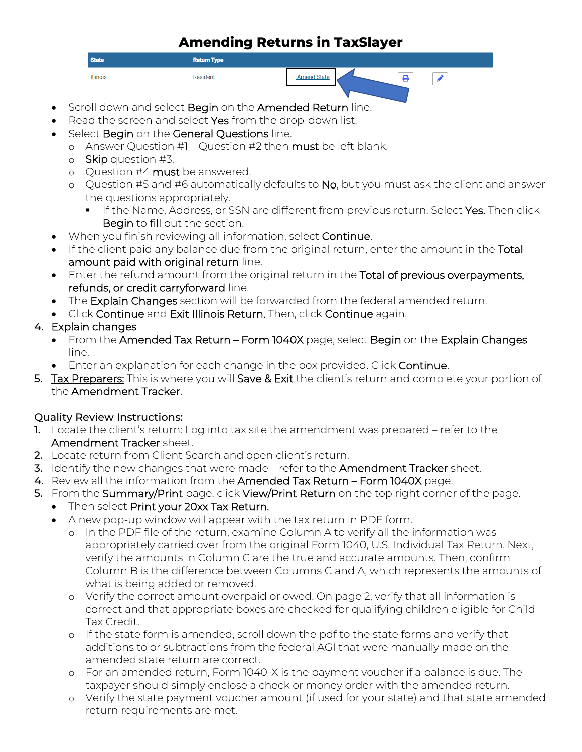| <b>State</b>    | <b>Return Type</b> |                                       |
|-----------------|--------------------|---------------------------------------|
| <b>Illinois</b> | Resident           | <b>Ctoto</b><br>Amend State<br>œ<br>Ð |

- Scroll down and select Begin on the Amended Return line.
- Read the screen and select Yes from the drop-down list.
- Select Begin on the General Questions line.
	- o Answer Question #1 Question #2 then must be left blank.
	- o Skip question #3.
	- o Question #4 must be answered.
	- o Question #5 and #6 automatically defaults to No, but you must ask the client and answer the questions appropriately.
		- If the Name, Address, or SSN are different from previous return, Select Yes. Then click Begin to fill out the section.
- When you finish reviewing all information, select **Continue**.
- If the client paid any balance due from the original return, enter the amount in the Total amount paid with original return line.
- Enter the refund amount from the original return in the Total of previous overpayments, refunds, or credit carryforward line.
- The Explain Changes section will be forwarded from the federal amended return.
- Click Continue and Exit Illinois Return. Then, click Continue again.

#### 4. Explain changes

- From the Amended Tax Return Form 1040X page, select Begin on the Explain Changes line.
- Enter an explanation for each change in the box provided. Click Continue.
- 5. Tax Preparers: This is where you will Save & Exit the client's return and complete your portion of the Amendment Tracker.

### Quality Review Instructions:

- 1. Locate the client's return: Log into tax site the amendment was prepared refer to the Amendment Tracker sheet.
- 2. Locate return from Client Search and open client's return.
- 3. Identify the new changes that were made refer to the Amendment Tracker sheet.
- 4. Review all the information from the Amended Tax Return Form 1040X page.
- 5. From the Summary/Print page, click View/Print Return on the top right corner of the page.
	- Then select Print your 20xx Tax Return.
	- A new pop-up window will appear with the tax return in PDF form.
		- o In the PDF file of the return, examine Column A to verify all the information was appropriately carried over from the original Form 1040, U.S. Individual Tax Return. Next, verify the amounts in Column C are the true and accurate amounts. Then, confirm Column B is the difference between Columns C and A, which represents the amounts of what is being added or removed.
		- o Verify the correct amount overpaid or owed. On page 2, verify that all information is correct and that appropriate boxes are checked for qualifying children eligible for Child Tax Credit.
		- o If the state form is amended, scroll down the pdf to the state forms and verify that additions to or subtractions from the federal AGI that were manually made on the amended state return are correct.
		- o For an amended return, Form 1040-X is the payment voucher if a balance is due. The taxpayer should simply enclose a check or money order with the amended return.
		- o Verify the state payment voucher amount (if used for your state) and that state amended return requirements are met.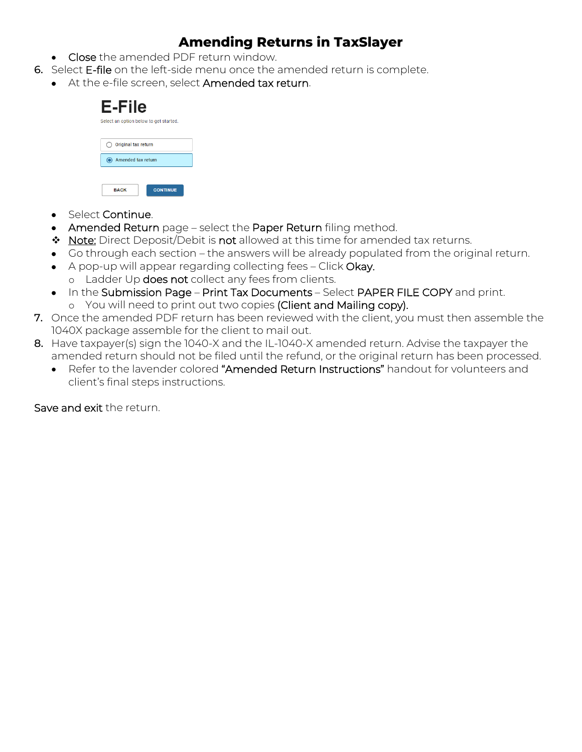- Close the amended PDF return window.
- 6. Select E-file on the left-side menu once the amended return is complete.
	- At the e-file screen, select Amended tax return.

| E-File<br>Select an option below to get started. |  |  |  |  |
|--------------------------------------------------|--|--|--|--|
| Original tax return                              |  |  |  |  |
| Amended tax return                               |  |  |  |  |
| <b>CONTINUE</b><br><b>BACK</b>                   |  |  |  |  |

- Select Continue.
- Amended Return page select the Paper Return filing method.
- ◆ Note: Direct Deposit/Debit is not allowed at this time for amended tax returns.
- Go through each section the answers will be already populated from the original return.
- A pop-up will appear regarding collecting fees Click Okay. o Ladder Up does not collect any fees from clients.
- In the Submission Page Print Tax Documents Select PAPER FILE COPY and print. o You will need to print out two copies (Client and Mailing copy).
- 7. Once the amended PDF return has been reviewed with the client, you must then assemble the 1040X package assemble for the client to mail out.
- 8. Have taxpayer(s) sign the 1040-X and the IL-1040-X amended return. Advise the taxpayer the amended return should not be filed until the refund, or the original return has been processed.
	- Refer to the lavender colored "Amended Return Instructions" handout for volunteers and client's final steps instructions.

Save and exit the return.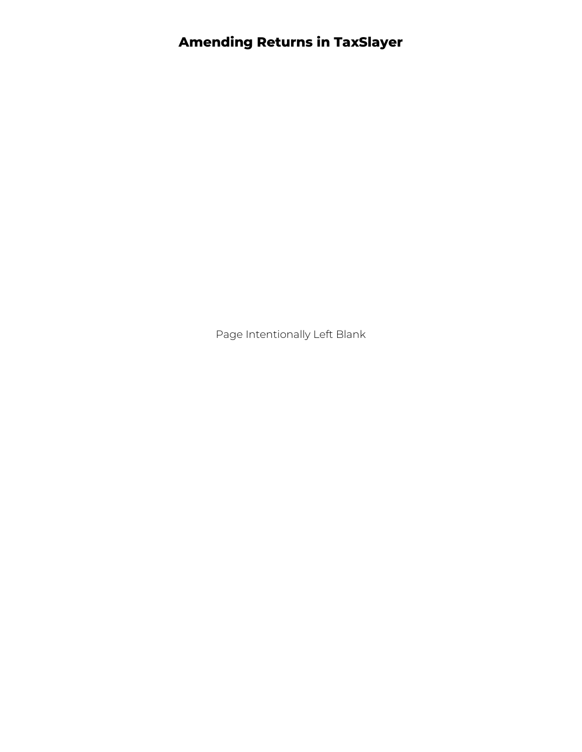Page Intentionally Left Blank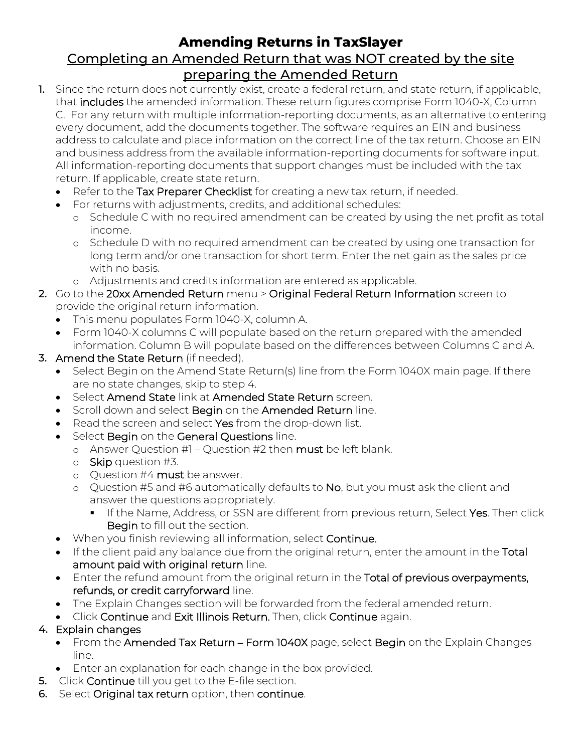### **Amending Returns in TaxSlayer** Completing an Amended Return that was NOT created by the site preparing the Amended Return

- 1. Since the return does not currently exist, create a federal return, and state return, if applicable, that includes the amended information. These return figures comprise Form 1040-X, Column C. For any return with multiple information-reporting documents, as an alternative to entering every document, add the documents together. The software requires an EIN and business address to calculate and place information on the correct line of the tax return. Choose an EIN and business address from the available information-reporting documents for software input. All information-reporting documents that support changes must be included with the tax return. If applicable, create state return.
	- Refer to the Tax Preparer Checklist for creating a new tax return, if needed.
	- For returns with adjustments, credits, and additional schedules:
		- o Schedule C with no required amendment can be created by using the net profit as total income.
		- o Schedule D with no required amendment can be created by using one transaction for long term and/or one transaction for short term. Enter the net gain as the sales price with no basis.
		- o Adjustments and credits information are entered as applicable.
- 2. Go to the 20xx Amended Return menu > Original Federal Return Information screen to provide the original return information.
	- This menu populates Form 1040-X, column A.
	- Form 1040-X columns C will populate based on the return prepared with the amended information. Column B will populate based on the differences between Columns C and A.

### 3. Amend the State Return (if needed).

- Select Begin on the Amend State Return(s) line from the Form 1040X main page. If there are no state changes, skip to step 4.
- Select Amend State link at Amended State Return screen.
- Scroll down and select **Begin** on the **Amended Return** line.
- Read the screen and select Yes from the drop-down list.
- Select Begin on the General Questions line.
	- o Answer Question #1 Question #2 then must be left blank.
	- o Skip question #3.
	- o Question #4 **must** be answer.
	- o Question #5 and #6 automatically defaults to No, but you must ask the client and answer the questions appropriately.
		- If the Name, Address, or SSN are different from previous return, Select Yes. Then click Begin to fill out the section.
- When you finish reviewing all information, select Continue.
- If the client paid any balance due from the original return, enter the amount in the Total amount paid with original return line.
- Enter the refund amount from the original return in the Total of previous overpayments, refunds, or credit carryforward line.
- The Explain Changes section will be forwarded from the federal amended return.
- Click Continue and Exit Illinois Return. Then, click Continue again.

### 4. Explain changes

- From the Amended Tax Return Form 1040X page, select Begin on the Explain Changes line.
- Enter an explanation for each change in the box provided.
- 5. Click Continue till you get to the E-file section.
- 6. Select Original tax return option, then continue.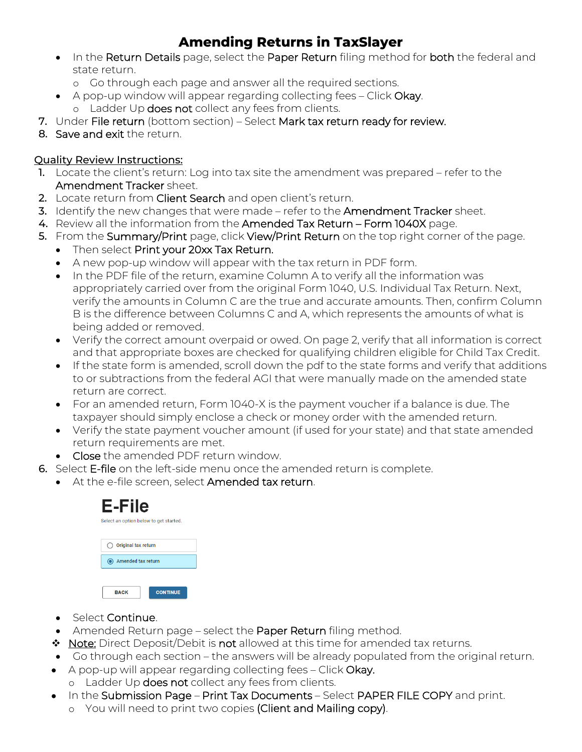- In the Return Details page, select the Paper Return filing method for both the federal and state return.
	- o Go through each page and answer all the required sections.
- A pop-up window will appear regarding collecting fees Click Okay. o Ladder Up does not collect any fees from clients.
- 7. Under File return (bottom section) Select Mark tax return ready for review.
- 8. Save and exit the return.

### Quality Review Instructions:

- 1. Locate the client's return: Log into tax site the amendment was prepared refer to the Amendment Tracker sheet.
- 2. Locate return from Client Search and open client's return.
- 3. Identify the new changes that were made refer to the Amendment Tracker sheet.
- 4. Review all the information from the Amended Tax Return Form 1040X page.
- 5. From the Summary/Print page, click View/Print Return on the top right corner of the page.
	- Then select Print your 20xx Tax Return.
	- A new pop-up window will appear with the tax return in PDF form.
	- In the PDF file of the return, examine Column A to verify all the information was appropriately carried over from the original Form 1040, U.S. Individual Tax Return. Next, verify the amounts in Column C are the true and accurate amounts. Then, confirm Column B is the difference between Columns C and A, which represents the amounts of what is being added or removed.
	- Verify the correct amount overpaid or owed. On page 2, verify that all information is correct and that appropriate boxes are checked for qualifying children eligible for Child Tax Credit.
	- If the state form is amended, scroll down the pdf to the state forms and verify that additions to or subtractions from the federal AGI that were manually made on the amended state return are correct.
	- For an amended return, Form 1040-X is the payment voucher if a balance is due. The taxpayer should simply enclose a check or money order with the amended return.
	- Verify the state payment voucher amount (if used for your state) and that state amended return requirements are met.
	- Close the amended PDF return window.
- 6. Select E-file on the left-side menu once the amended return is complete.
	- At the e-file screen, select Amended tax return.

| E-File                                 |  |  |  |  |
|----------------------------------------|--|--|--|--|
| Select an option below to get started. |  |  |  |  |
|                                        |  |  |  |  |
| Original tax return                    |  |  |  |  |
|                                        |  |  |  |  |
| Amended tax return                     |  |  |  |  |
|                                        |  |  |  |  |
| <b>CONTINUE</b><br><b>BACK</b>         |  |  |  |  |

- Select Continue.
- Amended Return page select the **Paper Return** filing method.
- $\bullet$  Note: Direct Deposit/Debit is not allowed at this time for amended tax returns.
- Go through each section the answers will be already populated from the original return.
- A pop-up will appear regarding collecting fees Click Okay.
	- o Ladder Up does not collect any fees from clients.
- In the Submission Page Print Tax Documents Select PAPER FILE COPY and print.
	- o You will need to print two copies (Client and Mailing copy).